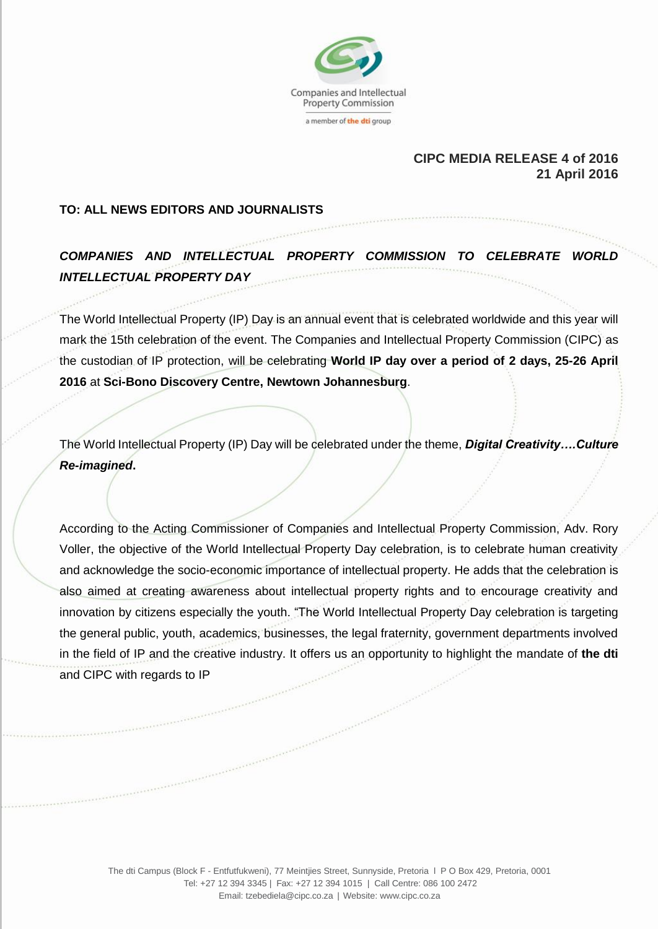

## **CIPC MEDIA RELEASE 4 of 2016 21 April 2016**

## **TO: ALL NEWS EDITORS AND JOURNALISTS**

## *COMPANIES AND INTELLECTUAL PROPERTY COMMISSION TO CELEBRATE WORLD INTELLECTUAL PROPERTY DAY*

The World Intellectual Property (IP) Day is an annual event that is celebrated worldwide and this year will mark the 15th celebration of the event. The Companies and Intellectual Property Commission (CIPC) as the custodian of IP protection, will be celebrating **World IP day over a period of 2 days, 25-26 April 2016** at **Sci-Bono Discovery Centre, Newtown Johannesburg**.

The World Intellectual Property (IP) Day will be celebrated under the theme, *Digital Creativity….Culture Re-imagined***.**

According to the Acting Commissioner of Companies and Intellectual Property Commission, Adv. Rory Voller, the objective of the World Intellectual Property Day celebration, is to celebrate human creativity and acknowledge the socio-economic importance of intellectual property. He adds that the celebration is also aimed at creating awareness about intellectual property rights and to encourage creativity and innovation by citizens especially the youth. "The World Intellectual Property Day celebration is targeting the general public, youth, academics, businesses, the legal fraternity, government departments involved in the field of IP and the creative industry. It offers us an opportunity to highlight the mandate of **the dti** and CIPC with regards to IP